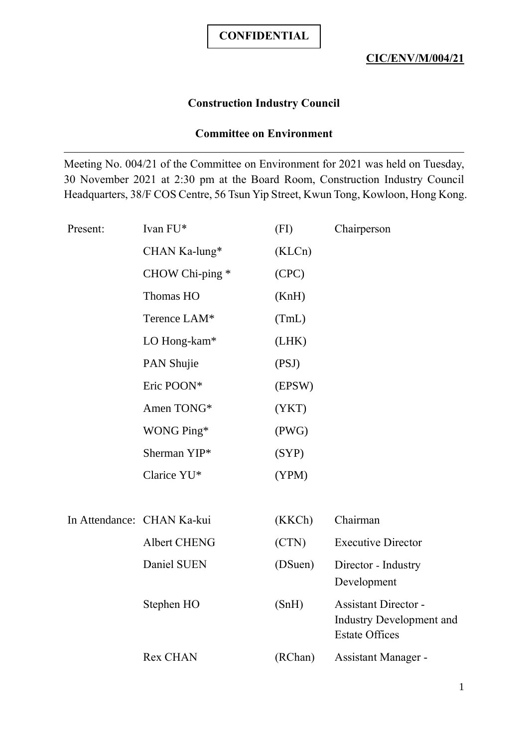## **Construction Industry Council**

#### **Committee on Environment**

Meeting No. 004/21 of the Committee on Environment for 2021 was held on Tuesday, 30 November 2021 at 2:30 pm at the Board Room, Construction Industry Council Headquarters, 38/F COS Centre, 56 Tsun Yip Street, Kwun Tong, Kowloon, Hong Kong.

| Present: | Ivan FU*                   | (FI)    | Chairperson                                       |
|----------|----------------------------|---------|---------------------------------------------------|
|          | CHAN Ka-lung*              | (KLCn)  |                                                   |
|          | CHOW Chi-ping *            | (CPC)   |                                                   |
|          | Thomas HO                  | (KnH)   |                                                   |
|          | Terence LAM*               | (TmL)   |                                                   |
|          | LO Hong-kam*               | (LHK)   |                                                   |
|          | PAN Shujie                 | (PSJ)   |                                                   |
|          | Eric POON*                 | (EPSW)  |                                                   |
|          | Amen TONG*                 | (YKT)   |                                                   |
|          | WONG Ping*                 | (PWG)   |                                                   |
|          | Sherman YIP*               | (SYP)   |                                                   |
|          | Clarice YU*                | (YPM)   |                                                   |
|          |                            |         |                                                   |
|          | In Attendance: CHAN Ka-kui | (KKCh)  | Chairman                                          |
|          | Albert CHENG               | (CTN)   | <b>Executive Director</b>                         |
|          | Daniel SUEN                | (DSuen) | Director - Industry                               |
|          |                            |         | Development                                       |
|          | Stephen HO                 | (SnH)   | <b>Assistant Director -</b>                       |
|          |                            |         | Industry Development and<br><b>Estate Offices</b> |
|          | <b>Rex CHAN</b>            | (RChan) | Assistant Manager -                               |
|          |                            |         |                                                   |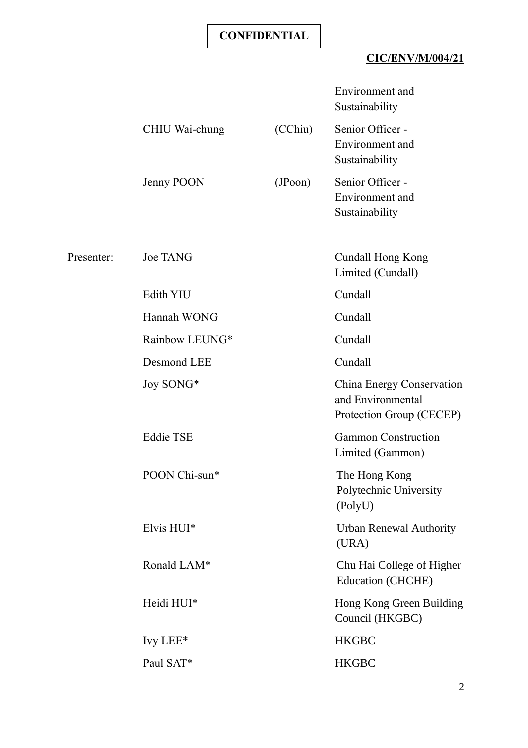## **CIC/ENV/M/004/21**

|            |                  |         | Environment and<br>Sustainability                                          |
|------------|------------------|---------|----------------------------------------------------------------------------|
|            | CHIU Wai-chung   | (CChiu) | Senior Officer -<br>Environment and<br>Sustainability                      |
|            | Jenny POON       | (JPoon) | Senior Officer -<br>Environment and<br>Sustainability                      |
| Presenter: | <b>Joe TANG</b>  |         | Cundall Hong Kong<br>Limited (Cundall)                                     |
|            | Edith YIU        |         | Cundall                                                                    |
|            | Hannah WONG      |         | Cundall                                                                    |
|            | Rainbow LEUNG*   |         | Cundall                                                                    |
|            | Desmond LEE      |         | Cundall                                                                    |
|            | Joy SONG*        |         | China Energy Conservation<br>and Environmental<br>Protection Group (CECEP) |
|            | <b>Eddie TSE</b> |         | <b>Gammon Construction</b><br>Limited (Gammon)                             |
|            | POON Chi-sun*    |         | The Hong Kong<br>Polytechnic University<br>(PolyU)                         |
|            | Elvis HUI*       |         | <b>Urban Renewal Authority</b><br>(URA)                                    |
|            | Ronald LAM*      |         | Chu Hai College of Higher<br><b>Education (CHCHE)</b>                      |
|            | Heidi HUI*       |         | Hong Kong Green Building<br>Council (HKGBC)                                |
|            | Ivy LEE $*$      |         | <b>HKGBC</b>                                                               |
|            | Paul SAT*        |         | <b>HKGBC</b>                                                               |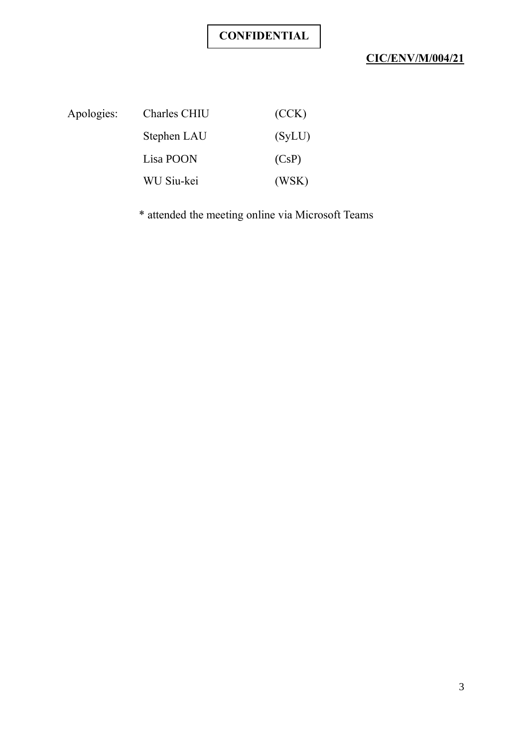# **CIC/ENV/M/004/21**

| Apologies: | Charles CHIU | (CCK)  |
|------------|--------------|--------|
|            | Stephen LAU  | (SyLU) |
|            | Lisa POON    | (CsP)  |
|            | WU Siu-kei   | (WSK)  |

\* attended the meeting online via Microsoft Teams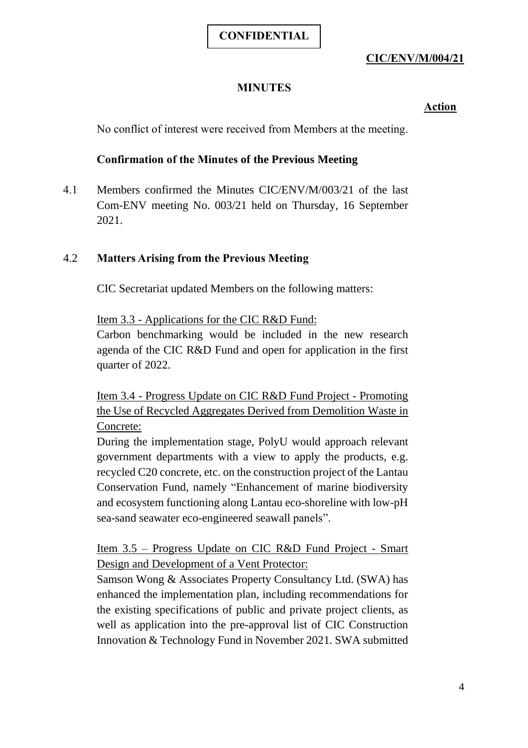## **CIC/ENV/M/004/21**

## **MINUTES**

#### **Action**

No conflict of interest were received from Members at the meeting.

## **Confirmation of the Minutes of the Previous Meeting**

4.1 Members confirmed the Minutes CIC/ENV/M/003/21 of the last Com-ENV meeting No. 003/21 held on Thursday, 16 September 2021.

#### 4.2 **Matters Arising from the Previous Meeting**

CIC Secretariat updated Members on the following matters:

Item 3.3 - Applications for the CIC R&D Fund:

Carbon benchmarking would be included in the new research agenda of the CIC R&D Fund and open for application in the first quarter of 2022.

Item 3.4 - Progress Update on CIC R&D Fund Project - Promoting the Use of Recycled Aggregates Derived from Demolition Waste in Concrete:

During the implementation stage, PolyU would approach relevant government departments with a view to apply the products, e.g. recycled C20 concrete, etc. on the construction project of the Lantau Conservation Fund, namely "Enhancement of marine biodiversity and ecosystem functioning along Lantau eco-shoreline with low-pH sea-sand seawater eco-engineered seawall panels".

Item 3.5 – Progress Update on CIC R&D Fund Project - Smart Design and Development of a Vent Protector:

Samson Wong & Associates Property Consultancy Ltd. (SWA) has enhanced the implementation plan, including recommendations for the existing specifications of public and private project clients, as well as application into the pre-approval list of CIC Construction Innovation & Technology Fund in November 2021. SWA submitted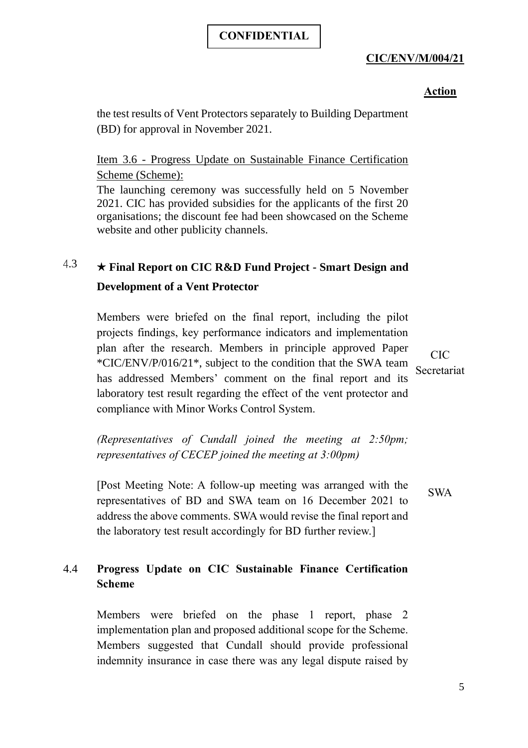## **CIC/ENV/M/004/21**

#### **Action**

the test results of Vent Protectors separately to Building Department (BD) for approval in November 2021.

#### Item 3.6 - Progress Update on Sustainable Finance Certification Scheme (Scheme):

The launching ceremony was successfully held on 5 November 2021. CIC has provided subsidies for the applicants of the first 20 organisations; the discount fee had been showcased on the Scheme website and other publicity channels.

# 4.3 ★ **Final Report on CIC R&D Fund Project - Smart Design and Development of a Vent Protector**

Members were briefed on the final report, including the pilot projects findings, key performance indicators and implementation plan after the research. Members in principle approved Paper \*CIC/ENV/P/016/21\*, subject to the condition that the SWA team has addressed Members' comment on the final report and its laboratory test result regarding the effect of the vent protector and compliance with Minor Works Control System.

CIC Secretariat

*(Representatives of Cundall joined the meeting at 2:50pm; representatives of CECEP joined the meeting at 3:00pm)*

[Post Meeting Note: A follow-up meeting was arranged with the representatives of BD and SWA team on 16 December 2021 to address the above comments. SWA would revise the final report and the laboratory test result accordingly for BD further review.] SWA

## 4.4 **Progress Update on CIC Sustainable Finance Certification Scheme**

Members were briefed on the phase 1 report, phase 2 implementation plan and proposed additional scope for the Scheme. Members suggested that Cundall should provide professional indemnity insurance in case there was any legal dispute raised by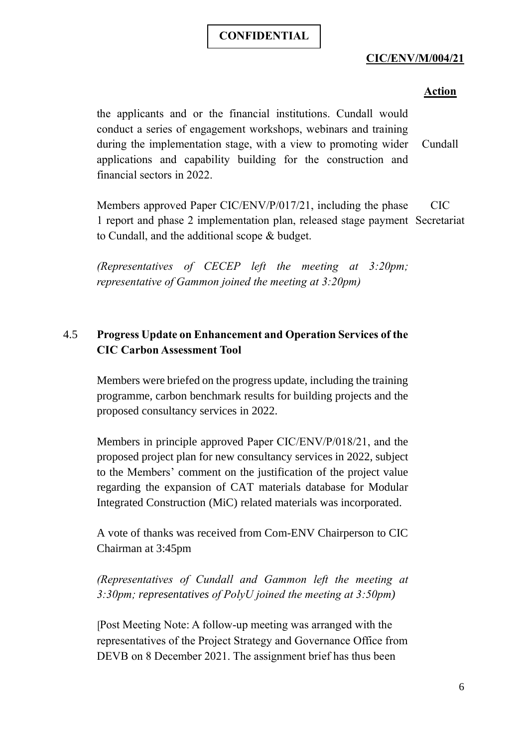## **CIC/ENV/M/004/21**

#### **Action**

the applicants and or the financial institutions. Cundall would conduct a series of engagement workshops, webinars and training during the implementation stage, with a view to promoting wider applications and capability building for the construction and financial sectors in 2022. Cundall

Members approved Paper CIC/ENV/P/017/21, including the phase 1 report and phase 2 implementation plan, released stage payment Secretariat to Cundall, and the additional scope & budget. CIC

*(Representatives of CECEP left the meeting at 3:20pm; representative of Gammon joined the meeting at 3:20pm)*

## 4.5 **Progress Update on Enhancement and Operation Services of the CIC Carbon Assessment Tool**

Members were briefed on the progress update, including the training programme, carbon benchmark results for building projects and the proposed consultancy services in 2022.

Members in principle approved Paper CIC/ENV/P/018/21, and the proposed project plan for new consultancy services in 2022, subject to the Members' comment on the justification of the project value regarding the expansion of CAT materials database for Modular Integrated Construction (MiC) related materials was incorporated.

A vote of thanks was received from Com-ENV Chairperson to CIC Chairman at 3:45pm

*(Representatives of Cundall and Gammon left the meeting at 3:30pm; representatives of PolyU joined the meeting at 3:50pm)*

[Post Meeting Note: A follow-up meeting was arranged with the representatives of the Project Strategy and Governance Office from DEVB on 8 December 2021. The assignment brief has thus been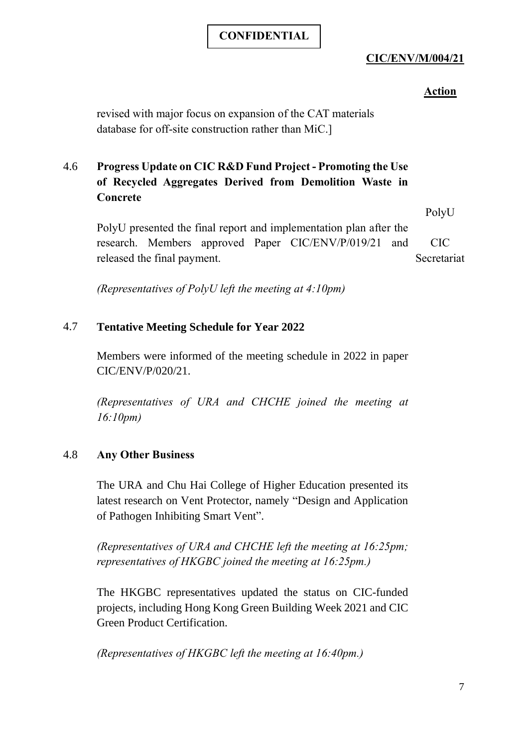## **CIC/ENV/M/004/21**

#### **Action**

revised with major focus on expansion of the CAT materials database for off-site construction rather than MiC.]

## 4.6 **Progress Update on CIC R&D Fund Project - Promoting the Use of Recycled Aggregates Derived from Demolition Waste in Concrete**

PolyU presented the final report and implementation plan after the research. Members approved Paper CIC/ENV/P/019/21 and released the final payment. PolyU CIC Secretariat

*(Representatives of PolyU left the meeting at 4:10pm)*

## 4.7 **Tentative Meeting Schedule for Year 2022**

Members were informed of the meeting schedule in 2022 in paper CIC/ENV/P/020/21.

*(Representatives of URA and CHCHE joined the meeting at 16:10pm)*

#### 4.8 **Any Other Business**

The URA and Chu Hai College of Higher Education presented its latest research on Vent Protector, namely "Design and Application of Pathogen Inhibiting Smart Vent".

*(Representatives of URA and CHCHE left the meeting at 16:25pm; representatives of HKGBC joined the meeting at 16:25pm.)*

The HKGBC representatives updated the status on CIC-funded projects, including Hong Kong Green Building Week 2021 and CIC Green Product Certification.

*(Representatives of HKGBC left the meeting at 16:40pm.)*